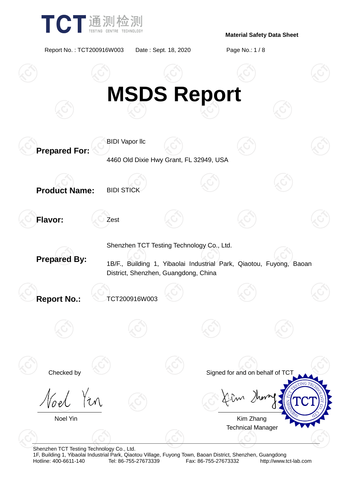

Report No. : TCT200916W003 Date : Sept. 18, 2020 Page No.: 1 / 8



Shenzhen TCT Testing Technology Co., Ltd.

1F, Building 1, Yibaolai Industrial Park, Qiaotou Village, Fuyong Town, Baoan District, Shenzhen, Guangdong Fax: 86-755-27673332 http://www.tct-lab.com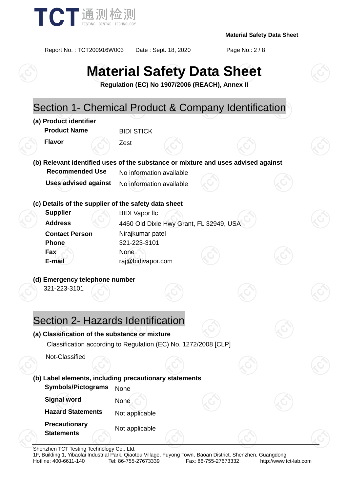

Report No. : TCT200916W003 Date : Sept. 18, 2020 Page No.: 2 / 8

# **Material Safety Data Sheet**

**Regulation (EC) No 1907/2006 (REACH), Annex II**

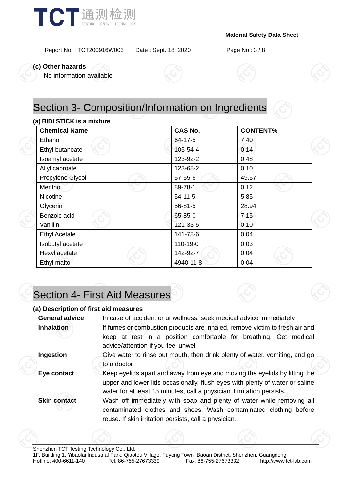

Report No. : TCT200916W003 Date : Sept. 18, 2020 Page No.: 3 / 8

**(c) Other hazards**

No information available





#### **(a) BIDI STICK is a mixture**

| <b>Chemical Name</b> | <b>CAS No.</b> | <b>CONTENT%</b> |  |
|----------------------|----------------|-----------------|--|
| Ethanol              | $64 - 17 - 5$  | 7.40            |  |
| Ethyl butanoate      | 105-54-4       | 0.14            |  |
| Isoamyl acetate      | 123-92-2       | 0.48            |  |
| Allyl caproate       | 123-68-2       | 0.10            |  |
| Propylene Glycol     | $57 - 55 - 6$  | 49.57           |  |
| <b>Menthol</b>       | 89-78-1        | 0.12            |  |
| Nicotine             | $54 - 11 - 5$  | 5.85            |  |
| Glycerin             | $56 - 81 - 5$  | 28.94           |  |
| Benzoic acid         | 65-85-0        | 7.15            |  |
| Vanillin             | 121-33-5       | 0.10            |  |
| <b>Ethyl Acetate</b> | 141-78-6       | 0.04            |  |
| Isobutyl acetate     | 110-19-0       | 0.03            |  |
| Hexyl acetate        | 142-92-7       | 0.04            |  |
| Ethyl maltol         | 4940-11-8      | 0.04            |  |

## Section 4- First Aid Measures

#### **(a) Description of first aid measures**

| <b>General advice</b> | In case of accident or unwellness, seek medical advice immediately                                                                                                                                                                    |  |  |
|-----------------------|---------------------------------------------------------------------------------------------------------------------------------------------------------------------------------------------------------------------------------------|--|--|
| <b>Inhalation</b>     | If fumes or combustion products are inhaled, remove victim to fresh air and                                                                                                                                                           |  |  |
|                       | keep at rest in a position comfortable for breathing. Get medical<br>advice/attention if you feel unwell                                                                                                                              |  |  |
| Ingestion             | Give water to rinse out mouth, then drink plenty of water, vomiting, and go<br>to a doctor                                                                                                                                            |  |  |
| Eye contact           | Keep eyelids apart and away from eye and moving the eyelids by lifting the<br>upper and lower lids occasionally, flush eyes with plenty of water or saline<br>water for at least 15 minutes, call a physician if irritation persists. |  |  |
| <b>Skin contact</b>   | Wash off immediately with soap and plenty of water while removing all<br>contaminated clothes and shoes. Wash contaminated clothing before<br>reuse. If skin irritation persists, call a physician.                                   |  |  |
|                       |                                                                                                                                                                                                                                       |  |  |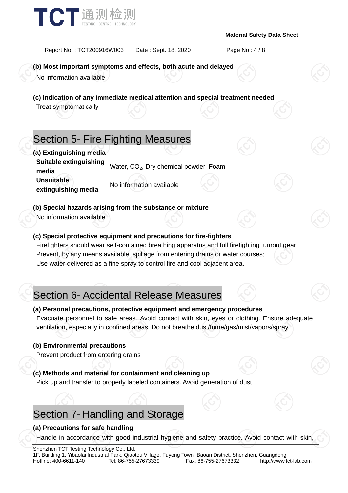

Report No. : TCT200916W003 Date : Sept. 18, 2020 Page No.: 4 / 8

**(b) Most important symptoms and effects, both acute and delayed**

No information available

**(c) Indication of any immediate medical attention and special treatment needed**

Treat symptomatically

### Section 5- Fire Fighting Measures

**(a) Extinguishing media Suitable extinguishing bundance cxangershing** Water, CO<sub>2</sub>, Dry chemical powder, Foam **Unsuitable extinguishing media** No information available

**(b) Special hazards arising from the substance or mixture**

No information available

### **(c) Special protective equipment and precautions for fire-fighters**

Firefighters should wear self-contained breathing apparatus and full firefighting turnout gear; Prevent, by any means available, spillage from entering drains or water courses; Use water delivered as a fine spray to control fire and cool adjacent area.

### Section 6- Accidental Release Measures

#### **(a) Personal precautions, protective equipment and emergency procedures**

Evacuate personnel to safe areas. Avoid contact with skin, eyes or clothing. Ensure adequate ventilation, especially in confined areas. Do not breathe dust/fume/gas/mist/vapors/spray.

#### **(b) Environmental precautions**

Prevent product from entering drains

#### **(c) Methods and material for containment and cleaning up**

Pick up and transfer to properly labeled containers. Avoid generation of dust

### Section 7- Handling and Storage

#### **(a) Precautions for safe handling**

Handle in accordance with good industrial hygiene and safety practice. Avoid contact with skin,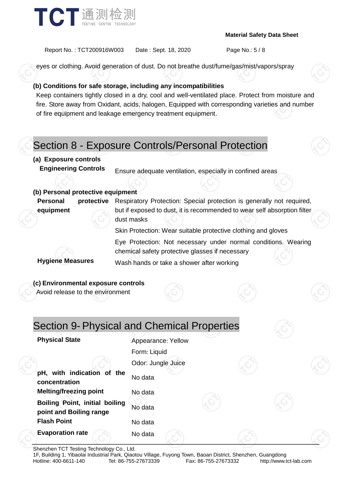

Report No. : TCT200916W003 Date : Sept. 18, 2020 Page No.: 5 / 8

eyes or clothing. Avoid generation of dust. Do not breathe dust/fume/gas/mist/vapors/spray

#### **(b) Conditions for safe storage, including any incompatibilities**

Keep containers tightly closed in a dry, cool and well-ventilated place. Protect from moisture and fire. Store away from Oxidant, acids, halogen, Equipped with corresponding varieties and number of fire equipment and leakage emergency treatment equipment.

### Section 8 - Exposure Controls/Personal Protection

#### **(a) Exposure controls**

**Engineering Controls** Ensure adequate ventilation, especially in confined areas

#### **(b) Personal protective equipment**

**Personal protective equipment** Respiratory Protection: Special protection is generally not required, but if exposed to dust, it is recommended to wear self absorption filter dust masks Skin Protection: Wear suitable protective clothing and gloves Eye Protection: Not necessary under normal conditions. Wearing chemical safety protective glasses if necessary **Hygiene Measures** Wash hands or take a shower after working

#### **(c) Environmental exposure controls**

Avoid release to the environment

### Section 9- Physical and Chemical Properties

|                    | <b>Physical State</b>                                            | Appearance: Yellow |  |  |
|--------------------|------------------------------------------------------------------|--------------------|--|--|
|                    |                                                                  | Form: Liquid       |  |  |
|                    |                                                                  | Odor: Jungle Juice |  |  |
|                    | pH, with indication of the<br>concentration                      | No data            |  |  |
|                    | <b>Melting/freezing point</b>                                    | No data            |  |  |
|                    | <b>Boiling Point, initial boiling</b><br>point and Boiling range | No data            |  |  |
| <b>Flash Point</b> | No data                                                          |                    |  |  |
|                    | <b>Evaporation rate</b>                                          | No data            |  |  |

Shenzhen TCT Testing Technology Co., Ltd.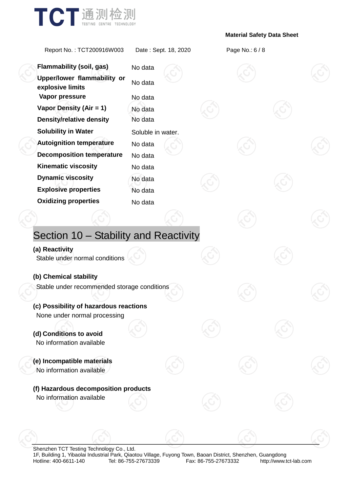

Report No. : TCT200916W003 Date : Sept. 18, 2020 Page No.: 6 / 8

**Flammability (soil, gas)** No data **Upper/lower flammability or explosive limits** No data **Vapor pressure** No data **Vapor Density (Air = 1)** No data **Density/relative density** No data **Solubility in Water** Soluble in water. **Autoignition temperature** No data **Decomposition temperature** No data **Kinematic viscosity** No data **Dynamic viscosity** No data **Explosive properties** No data **Oxidizing properties** No data Section 10 – Stability and Reactivity **(a) Reactivity** Stable under normal conditions **(b) Chemical stability** Stable under recommended storage conditions **(c) Possibility of hazardous reactions** None under normal processing **(d) Conditions to avoid** No information available **(e) Incompatible materials** No information available **(f) Hazardous decomposition products** No information available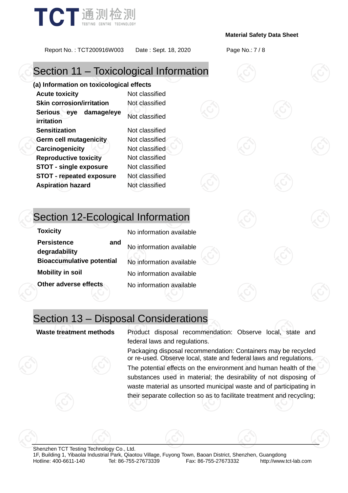

Report No. : TCT200916W003 Date : Sept. 18, 2020 Page No.: 7 / 8

### Section 11 – Toxicological Information

**(a) Information on toxicological effects Acute toxicity** Not classified **Skin corrosion/irritation** Not classified **Serious eye damage/eye irritation** Not classified **Sensitization** Not classified **Germ cell mutagenicity** Not classified **Carcinogenicity Not classified Reproductive toxicity** Not classified **STOT - single exposure** Not classified **STOT - repeated exposure** Not classified **Aspiration hazard** Not classified

### Section 12-Ecological Information

| <b>Toxicity</b>                            | No information available |
|--------------------------------------------|--------------------------|
| <b>Persistence</b><br>and<br>degradability | No information available |
| <b>Bioaccumulative potential</b>           | No information available |
| <b>Mobility in soil</b>                    | No information available |
| Other adverse effects                      | No information available |

### Section 13 – Disposal Considerations

**Waste treatment methods** Product disposal recommendation: Observe local, state and federal laws and regulations.

> Packaging disposal recommendation: Containers may be recycled or re-used. Observe local, state and federal laws and regulations.

> The potential effects on the environment and human health of the substances used in material; the desirability of not disposing of waste material as unsorted municipal waste and of participating in their separate collection so as to facilitate treatment and recycling;

Shenzhen TCT Testing Technology Co., Ltd. 1F, Building 1, Yibaolai Industrial Park, Qiaotou Village, Fuyong Town, Baoan District, Shenzhen, Guangdong http://www.tct-lab.com